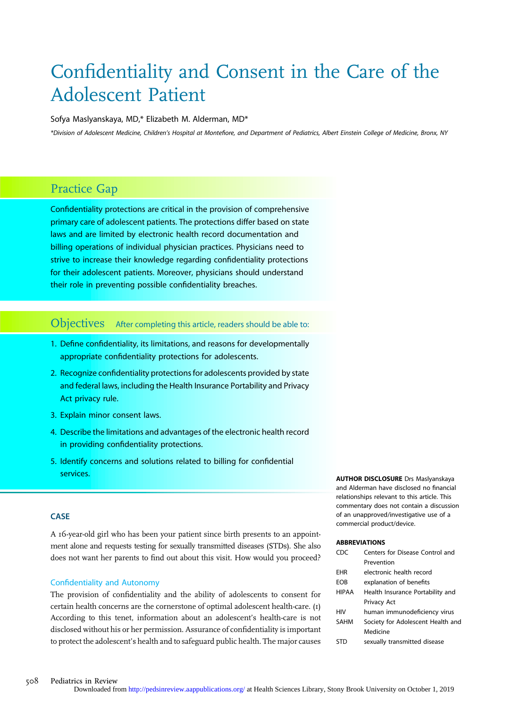# Confidentiality and Consent in the Care of the Adolescent Patient

Sofya Maslyanskaya, MD,\* Elizabeth M. Alderman, MD\*

\*Division of Adolescent Medicine, Children's Hospital at Montefiore, and Department of Pediatrics, Albert Einstein College of Medicine, Bronx, NY

## Practice Gap

Confidentiality protections are critical in the provision of comprehensive primary care of adolescent patients. The protections differ based on state laws and are limited by electronic health record documentation and billing operations of individual physician practices. Physicians need to strive to increase their knowledge regarding confidentiality protections for their adolescent patients. Moreover, physicians should understand their role in preventing possible confidentiality breaches.

## Objectives After completing this article, readers should be able to:

- 1. Define confidentiality, its limitations, and reasons for developmentally appropriate confidentiality protections for adolescents.
- 2. Recognize confidentiality protections for adolescents provided by state and federal laws, including the Health Insurance Portability and Privacy Act privacy rule.
- 3. Explain minor consent laws.
- 4. Describe the limitations and advantages of the electronic health record in providing confidentiality protections.
- 5. Identify concerns and solutions related to billing for confidential services.

#### CASE

A 16-year-old girl who has been your patient since birth presents to an appointment alone and requests testing for sexually transmitted diseases (STDs). She also does not want her parents to find out about this visit. How would you proceed?

#### Confidentiality and Autonomy

The provision of confidentiality and the ability of adolescents to consent for certain health concerns are the cornerstone of optimal adolescent health-care. (1) According to this tenet, information about an adolescent's health-care is not disclosed without his or her permission. Assurance of confidentiality is important to protect the adolescent's health and to safeguard public health. The major causes

AUTHOR DISCLOSURE Drs Maslyanskaya and Alderman have disclosed no financial relationships relevant to this article. This commentary does not contain a discussion of an unapproved/investigative use of a commercial product/device.

#### ABBREVIATIONS

| CDC         | Centers for Disease Control and   |
|-------------|-----------------------------------|
|             | Prevention                        |
| EHR         | electronic health record          |
| EOB         | explanation of benefits           |
| HIPAA       | Health Insurance Portability and  |
|             | Privacy Act                       |
| HIV         | human immunodeficiency virus      |
| <b>SAHM</b> | Society for Adolescent Health and |
|             | Medicine                          |
| STD         | sexually transmitted disease      |
|             |                                   |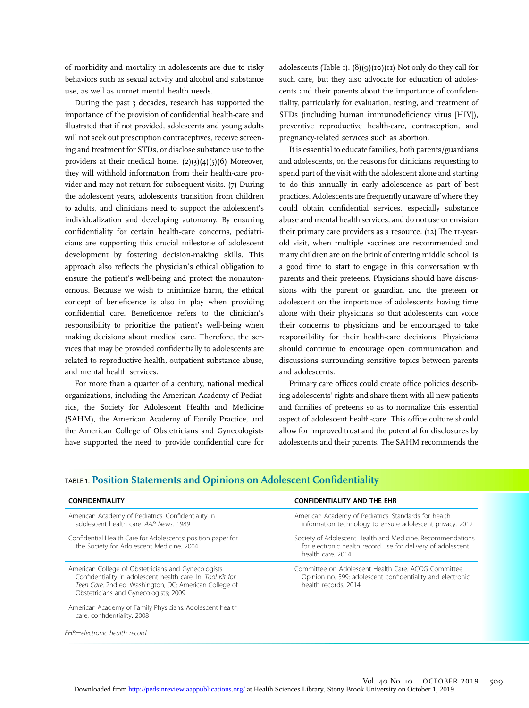of morbidity and mortality in adolescents are due to risky behaviors such as sexual activity and alcohol and substance use, as well as unmet mental health needs.

During the past 3 decades, research has supported the importance of the provision of confidential health-care and illustrated that if not provided, adolescents and young adults will not seek out prescription contraceptives, receive screening and treatment for STDs, or disclose substance use to the providers at their medical home. (2)(3)(4)(5)(6) Moreover, they will withhold information from their health-care provider and may not return for subsequent visits. (7) During the adolescent years, adolescents transition from children to adults, and clinicians need to support the adolescent's individualization and developing autonomy. By ensuring confidentiality for certain health-care concerns, pediatricians are supporting this crucial milestone of adolescent development by fostering decision-making skills. This approach also reflects the physician's ethical obligation to ensure the patient's well-being and protect the nonautonomous. Because we wish to minimize harm, the ethical concept of beneficence is also in play when providing confidential care. Beneficence refers to the clinician's responsibility to prioritize the patient's well-being when making decisions about medical care. Therefore, the services that may be provided confidentially to adolescents are related to reproductive health, outpatient substance abuse, and mental health services.

For more than a quarter of a century, national medical organizations, including the American Academy of Pediatrics, the Society for Adolescent Health and Medicine (SAHM), the American Academy of Family Practice, and the American College of Obstetricians and Gynecologists have supported the need to provide confidential care for

adolescents (Table 1).  $(8)(9)(10)(11)$  Not only do they call for such care, but they also advocate for education of adolescents and their parents about the importance of confidentiality, particularly for evaluation, testing, and treatment of STDs (including human immunodeficiency virus [HIV]), preventive reproductive health-care, contraception, and pregnancy-related services such as abortion.

It is essential to educate families, both parents/guardians and adolescents, on the reasons for clinicians requesting to spend part of the visit with the adolescent alone and starting to do this annually in early adolescence as part of best practices. Adolescents are frequently unaware of where they could obtain confidential services, especially substance abuse and mental health services, and do not use or envision their primary care providers as a resource. (12) The 11-yearold visit, when multiple vaccines are recommended and many children are on the brink of entering middle school, is a good time to start to engage in this conversation with parents and their preteens. Physicians should have discussions with the parent or guardian and the preteen or adolescent on the importance of adolescents having time alone with their physicians so that adolescents can voice their concerns to physicians and be encouraged to take responsibility for their health-care decisions. Physicians should continue to encourage open communication and discussions surrounding sensitive topics between parents and adolescents.

Primary care offices could create office policies describing adolescents' rights and share them with all new patients and families of preteens so as to normalize this essential aspect of adolescent health-care. This office culture should allow for improved trust and the potential for disclosures by adolescents and their parents. The SAHM recommends the

| <b>CONFIDENTIALITY</b>                                                                                                                                                                                                 | <b>CONFIDENTIALITY AND THE EHR</b>                                                                                                             |  |  |
|------------------------------------------------------------------------------------------------------------------------------------------------------------------------------------------------------------------------|------------------------------------------------------------------------------------------------------------------------------------------------|--|--|
| American Academy of Pediatrics. Confidentiality in<br>adolescent health care, AAP News, 1989                                                                                                                           | American Academy of Pediatrics. Standards for health<br>information technology to ensure adolescent privacy. 2012                              |  |  |
| Confidential Health Care for Adolescents: position paper for<br>the Society for Adolescent Medicine. 2004                                                                                                              | Society of Adolescent Health and Medicine. Recommendations<br>for electronic health record use for delivery of adolescent<br>health care, 2014 |  |  |
| American College of Obstetricians and Gynecologists.<br>Confidentiality in adolescent health care. In: Tool Kit for<br>Teen Care. 2nd ed. Washington, DC: American College of<br>Obstetricians and Gynecologists; 2009 | Committee on Adolescent Health Care, ACOG Committee<br>Opinion no. 599: adolescent confidentiality and electronic<br>health records 2014       |  |  |
| American Academy of Family Physicians. Adolescent health<br>care, confidentiality. 2008                                                                                                                                |                                                                                                                                                |  |  |
| EHR=electronic health record.                                                                                                                                                                                          |                                                                                                                                                |  |  |

## TABLE 1. Position Statements and Opinions on Adolescent Confidentiality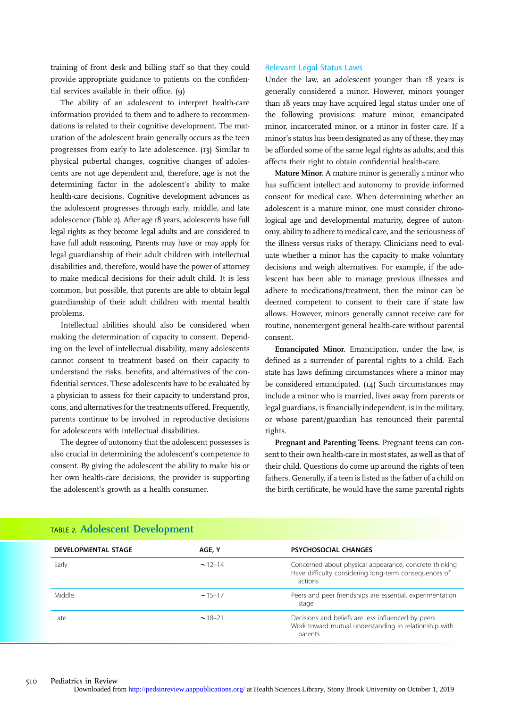training of front desk and billing staff so that they could provide appropriate guidance to patients on the confidential services available in their office. (9)

The ability of an adolescent to interpret health-care information provided to them and to adhere to recommendations is related to their cognitive development. The maturation of the adolescent brain generally occurs as the teen progresses from early to late adolescence. (13) Similar to physical pubertal changes, cognitive changes of adolescents are not age dependent and, therefore, age is not the determining factor in the adolescent's ability to make health-care decisions. Cognitive development advances as the adolescent progresses through early, middle, and late adolescence (Table 2). After age 18 years, adolescents have full legal rights as they become legal adults and are considered to have full adult reasoning. Parents may have or may apply for legal guardianship of their adult children with intellectual disabilities and, therefore, would have the power of attorney to make medical decisions for their adult child. It is less common, but possible, that parents are able to obtain legal guardianship of their adult children with mental health problems.

Intellectual abilities should also be considered when making the determination of capacity to consent. Depending on the level of intellectual disability, many adolescents cannot consent to treatment based on their capacity to understand the risks, benefits, and alternatives of the confidential services. These adolescents have to be evaluated by a physician to assess for their capacity to understand pros, cons, and alternatives for the treatments offered. Frequently, parents continue to be involved in reproductive decisions for adolescents with intellectual disabilities.

The degree of autonomy that the adolescent possesses is also crucial in determining the adolescent's competence to consent. By giving the adolescent the ability to make his or her own health-care decisions, the provider is supporting the adolescent's growth as a health consumer.

#### Relevant Legal Status Laws

Under the law, an adolescent younger than 18 years is generally considered a minor. However, minors younger than 18 years may have acquired legal status under one of the following provisions: mature minor, emancipated minor, incarcerated minor, or a minor in foster care. If a minor's status has been designated as any of these, they may be afforded some of the same legal rights as adults, and this affects their right to obtain confidential health-care.

Mature Minor. A mature minor is generally a minor who has sufficient intellect and autonomy to provide informed consent for medical care. When determining whether an adolescent is a mature minor, one must consider chronological age and developmental maturity, degree of autonomy, ability to adhere to medical care, and the seriousness of the illness versus risks of therapy. Clinicians need to evaluate whether a minor has the capacity to make voluntary decisions and weigh alternatives. For example, if the adolescent has been able to manage previous illnesses and adhere to medications/treatment, then the minor can be deemed competent to consent to their care if state law allows. However, minors generally cannot receive care for routine, nonemergent general health-care without parental consent.

Emancipated Minor. Emancipation, under the law, is defined as a surrender of parental rights to a child. Each state has laws defining circumstances where a minor may be considered emancipated. (14) Such circumstances may include a minor who is married, lives away from parents or legal guardians, is financially independent, is in the military, or whose parent/guardian has renounced their parental rights.

Pregnant and Parenting Teens. Pregnant teens can consent to their own health-care in most states, as well as that of their child. Questions do come up around the rights of teen fathers. Generally, if a teen is listed as the father of a child on the birth certificate, he would have the same parental rights

| <b>DEVELOPMENTAL STAGE</b> | AGE, Y       | <b>PSYCHOSOCIAL CHANGES</b>                                                                                                |
|----------------------------|--------------|----------------------------------------------------------------------------------------------------------------------------|
| Early                      | $\sim$ 12–14 | Concerned about physical appearance, concrete thinking<br>Have difficulty considering long-term consequences of<br>actions |
| Middle                     | $\sim$ 15–17 | Peers and peer friendships are essential, experimentation<br>stage                                                         |
| l ate                      | $\sim$ 18-21 | Decisions and beliefs are less influenced by peers<br>Work toward mutual understanding in relationship with<br>parents     |

#### TABLE 2. Adolescent Development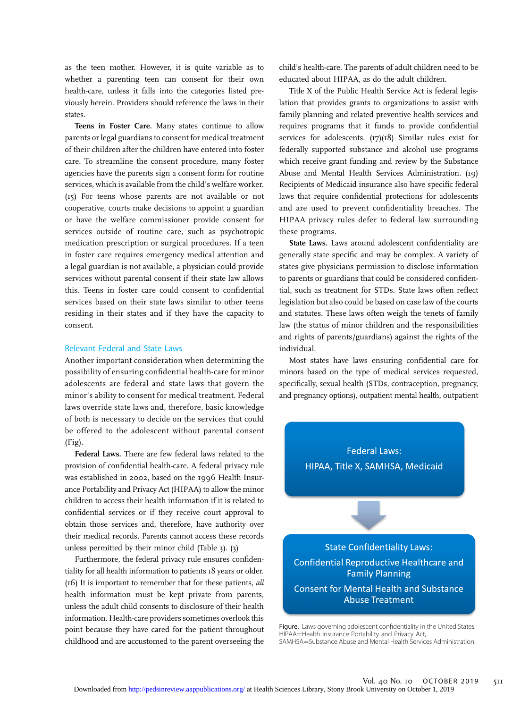as the teen mother. However, it is quite variable as to whether a parenting teen can consent for their own health-care, unless it falls into the categories listed previously herein. Providers should reference the laws in their states.

Teens in Foster Care. Many states continue to allow parents or legal guardians to consent for medical treatment of their children after the children have entered into foster care. To streamline the consent procedure, many foster agencies have the parents sign a consent form for routine services, which is available from the child's welfare worker. (15) For teens whose parents are not available or not cooperative, courts make decisions to appoint a guardian or have the welfare commissioner provide consent for services outside of routine care, such as psychotropic medication prescription or surgical procedures. If a teen in foster care requires emergency medical attention and a legal guardian is not available, a physician could provide services without parental consent if their state law allows this. Teens in foster care could consent to confidential services based on their state laws similar to other teens residing in their states and if they have the capacity to consent.

#### Relevant Federal and State Laws

Another important consideration when determining the possibility of ensuring confidential health-care for minor adolescents are federal and state laws that govern the minor's ability to consent for medical treatment. Federal laws override state laws and, therefore, basic knowledge of both is necessary to decide on the services that could be offered to the adolescent without parental consent (Fig).

Federal Laws. There are few federal laws related to the provision of confidential health-care. A federal privacy rule was established in 2002, based on the 1996 Health Insurance Portability and Privacy Act (HIPAA) to allow the minor children to access their health information if it is related to confidential services or if they receive court approval to obtain those services and, therefore, have authority over their medical records. Parents cannot access these records unless permitted by their minor child (Table 3). (3)

Furthermore, the federal privacy rule ensures confidentiality for all health information to patients 18 years or older. (16) It is important to remember that for these patients, all health information must be kept private from parents, unless the adult child consents to disclosure of their health information. Health-care providers sometimes overlook this point because they have cared for the patient throughout childhood and are accustomed to the parent overseeing the

child's health-care. The parents of adult children need to be educated about HIPAA, as do the adult children.

Title X of the Public Health Service Act is federal legislation that provides grants to organizations to assist with family planning and related preventive health services and requires programs that it funds to provide confidential services for adolescents. (17)(18) Similar rules exist for federally supported substance and alcohol use programs which receive grant funding and review by the Substance Abuse and Mental Health Services Administration. (19) Recipients of Medicaid insurance also have specific federal laws that require confidential protections for adolescents and are used to prevent confidentiality breaches. The HIPAA privacy rules defer to federal law surrounding these programs.

State Laws. Laws around adolescent confidentiality are generally state specific and may be complex. A variety of states give physicians permission to disclose information to parents or guardians that could be considered confidential, such as treatment for STDs. State laws often reflect legislation but also could be based on case law of the courts and statutes. These laws often weigh the tenets of family law (the status of minor children and the responsibilities and rights of parents/guardians) against the rights of the individual.

Most states have laws ensuring confidential care for minors based on the type of medical services requested, specifically, sexual health (STDs, contraception, pregnancy, and pregnancy options), outpatient mental health, outpatient



Figure. Laws governing adolescent confidentiality in the United States. HIPAA=Health Insurance Portability and Privacy Act, SAMHSA=Substance Abuse and Mental Health Services Administration.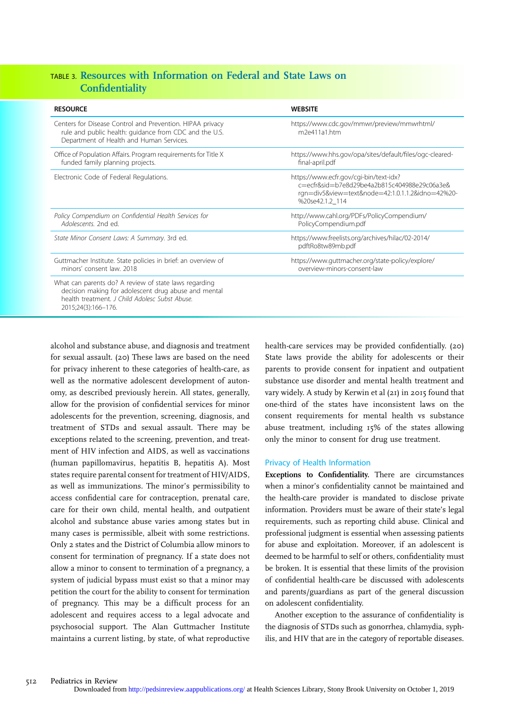## TABLE 3. Resources with Information on Federal and State Laws on **Confidentiality**

| <b>RESOURCE</b>                                                                                                                                                                        | <b>WEBSITE</b>                                                                                                                                                |
|----------------------------------------------------------------------------------------------------------------------------------------------------------------------------------------|---------------------------------------------------------------------------------------------------------------------------------------------------------------|
| Centers for Disease Control and Prevention. HIPAA privacy<br>rule and public health: guidance from CDC and the U.S.<br>Department of Health and Human Services.                        | https://www.cdc.gov/mmwr/preview/mmwrhtml/<br>m2e411a1.htm                                                                                                    |
| Office of Population Affairs. Program requirements for Title X<br>funded family planning projects.                                                                                     | https://www.hhs.gov/opa/sites/default/files/ogc-cleared-<br>final-april.pdf                                                                                   |
| Electronic Code of Federal Regulations.                                                                                                                                                | https://www.ecfr.gov/cgi-bin/text-idx?<br>c=ecfr&sid=b7e8d29be4a2b815c404988e29c06a3e&<br>rgn=div5&view=text&node=42:1.0.1.1.2&idno=42%20-<br>%20se42.1.2 114 |
| Policy Compendium on Confidential Health Services for<br>Adolescents, 2nd ed.                                                                                                          | http://www.cahl.org/PDFs/PolicyCompendium/<br>PolicyCompendium.pdf                                                                                            |
| State Minor Consent Laws: A Summary. 3rd ed.                                                                                                                                           | https://www.freelists.org/archives/hilac/02-2014/<br>pdftRo8tw89mb.pdf                                                                                        |
| Guttmacher Institute. State policies in brief: an overview of<br>minors' consent law 2018                                                                                              | https://www.guttmacher.org/state-policy/explore/<br>overview-minors-consent-law                                                                               |
| What can parents do? A review of state laws regarding<br>decision making for adolescent drug abuse and mental<br>health treatment. I Child Adolesc Subst Abuse.<br>2015;24(3):166-176. |                                                                                                                                                               |

alcohol and substance abuse, and diagnosis and treatment for sexual assault. (20) These laws are based on the need for privacy inherent to these categories of health-care, as well as the normative adolescent development of autonomy, as described previously herein. All states, generally, allow for the provision of confidential services for minor adolescents for the prevention, screening, diagnosis, and treatment of STDs and sexual assault. There may be exceptions related to the screening, prevention, and treatment of HIV infection and AIDS, as well as vaccinations (human papillomavirus, hepatitis B, hepatitis A). Most states require parental consent for treatment of HIV/AIDS, as well as immunizations. The minor's permissibility to access confidential care for contraception, prenatal care, care for their own child, mental health, and outpatient alcohol and substance abuse varies among states but in many cases is permissible, albeit with some restrictions. Only 2 states and the District of Columbia allow minors to consent for termination of pregnancy. If a state does not allow a minor to consent to termination of a pregnancy, a system of judicial bypass must exist so that a minor may petition the court for the ability to consent for termination of pregnancy. This may be a difficult process for an adolescent and requires access to a legal advocate and psychosocial support. The Alan Guttmacher Institute maintains a current listing, by state, of what reproductive

health-care services may be provided confidentially. (20) State laws provide the ability for adolescents or their parents to provide consent for inpatient and outpatient substance use disorder and mental health treatment and vary widely. A study by Kerwin et al (21) in 2015 found that one-third of the states have inconsistent laws on the consent requirements for mental health vs substance abuse treatment, including 15% of the states allowing only the minor to consent for drug use treatment.

#### Privacy of Health Information

Exceptions to Confidentiality. There are circumstances when a minor's confidentiality cannot be maintained and the health-care provider is mandated to disclose private information. Providers must be aware of their state's legal requirements, such as reporting child abuse. Clinical and professional judgment is essential when assessing patients for abuse and exploitation. Moreover, if an adolescent is deemed to be harmful to self or others, confidentiality must be broken. It is essential that these limits of the provision of confidential health-care be discussed with adolescents and parents/guardians as part of the general discussion on adolescent confidentiality.

Another exception to the assurance of confidentiality is the diagnosis of STDs such as gonorrhea, chlamydia, syphilis, and HIV that are in the category of reportable diseases.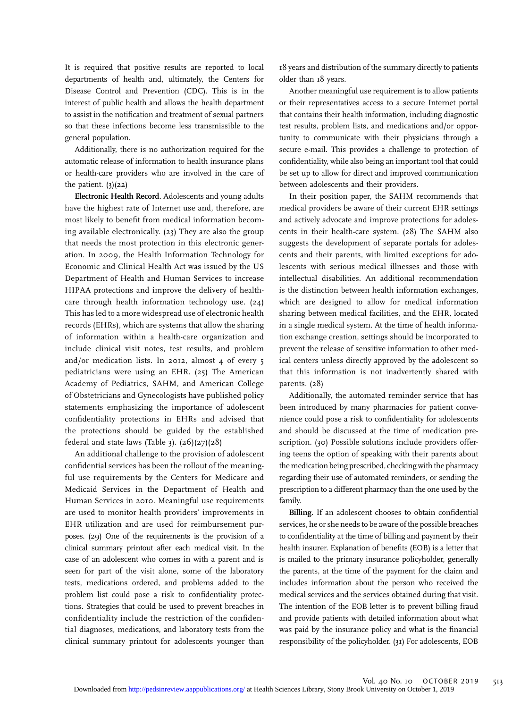It is required that positive results are reported to local departments of health and, ultimately, the Centers for Disease Control and Prevention (CDC). This is in the interest of public health and allows the health department to assist in the notification and treatment of sexual partners so that these infections become less transmissible to the general population.

Additionally, there is no authorization required for the automatic release of information to health insurance plans or health-care providers who are involved in the care of the patient.  $(3)(22)$ 

Electronic Health Record. Adolescents and young adults have the highest rate of Internet use and, therefore, are most likely to benefit from medical information becoming available electronically. (23) They are also the group that needs the most protection in this electronic generation. In 2009, the Health Information Technology for Economic and Clinical Health Act was issued by the US Department of Health and Human Services to increase HIPAA protections and improve the delivery of healthcare through health information technology use. (24) This has led to a more widespread use of electronic health records (EHRs), which are systems that allow the sharing of information within a health-care organization and include clinical visit notes, test results, and problem and/or medication lists. In 2012, almost 4 of every 5 pediatricians were using an EHR. (25) The American Academy of Pediatrics, SAHM, and American College of Obstetricians and Gynecologists have published policy statements emphasizing the importance of adolescent confidentiality protections in EHRs and advised that the protections should be guided by the established federal and state laws (Table 3).  $(26)(27)(28)$ 

An additional challenge to the provision of adolescent confidential services has been the rollout of the meaningful use requirements by the Centers for Medicare and Medicaid Services in the Department of Health and Human Services in 2010. Meaningful use requirements are used to monitor health providers' improvements in EHR utilization and are used for reimbursement purposes. (29) One of the requirements is the provision of a clinical summary printout after each medical visit. In the case of an adolescent who comes in with a parent and is seen for part of the visit alone, some of the laboratory tests, medications ordered, and problems added to the problem list could pose a risk to confidentiality protections. Strategies that could be used to prevent breaches in confidentiality include the restriction of the confidential diagnoses, medications, and laboratory tests from the clinical summary printout for adolescents younger than

18 years and distribution of the summary directly to patients older than 18 years.

Another meaningful use requirement is to allow patients or their representatives access to a secure Internet portal that contains their health information, including diagnostic test results, problem lists, and medications and/or opportunity to communicate with their physicians through a secure e-mail. This provides a challenge to protection of confidentiality, while also being an important tool that could be set up to allow for direct and improved communication between adolescents and their providers.

In their position paper, the SAHM recommends that medical providers be aware of their current EHR settings and actively advocate and improve protections for adolescents in their health-care system. (28) The SAHM also suggests the development of separate portals for adolescents and their parents, with limited exceptions for adolescents with serious medical illnesses and those with intellectual disabilities. An additional recommendation is the distinction between health information exchanges, which are designed to allow for medical information sharing between medical facilities, and the EHR, located in a single medical system. At the time of health information exchange creation, settings should be incorporated to prevent the release of sensitive information to other medical centers unless directly approved by the adolescent so that this information is not inadvertently shared with parents. (28)

Additionally, the automated reminder service that has been introduced by many pharmacies for patient convenience could pose a risk to confidentiality for adolescents and should be discussed at the time of medication prescription. (30) Possible solutions include providers offering teens the option of speaking with their parents about the medication being prescribed, checking with the pharmacy regarding their use of automated reminders, or sending the prescription to a different pharmacy than the one used by the family.

Billing. If an adolescent chooses to obtain confidential services, he or she needs to be aware of the possible breaches to confidentiality at the time of billing and payment by their health insurer. Explanation of benefits (EOB) is a letter that is mailed to the primary insurance policyholder, generally the parents, at the time of the payment for the claim and includes information about the person who received the medical services and the services obtained during that visit. The intention of the EOB letter is to prevent billing fraud and provide patients with detailed information about what was paid by the insurance policy and what is the financial responsibility of the policyholder. (31) For adolescents, EOB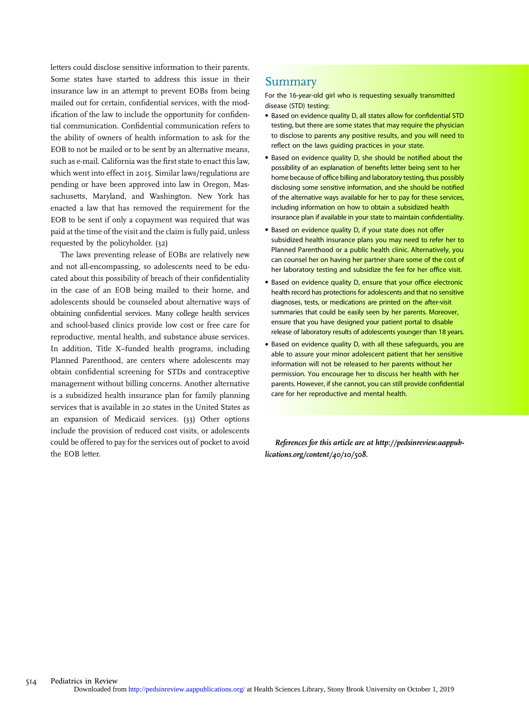letters could disclose sensitive information to their parents. Some states have started to address this issue in their insurance law in an attempt to prevent EOBs from being mailed out for certain, confidential services, with the modification of the law to include the opportunity for confidential communication. Confidential communication refers to the ability of owners of health information to ask for the EOB to not be mailed or to be sent by an alternative means, such as e-mail. California was the first state to enact this law, which went into effect in 2015. Similar laws/regulations are pending or have been approved into law in Oregon, Massachusetts, Maryland, and Washington. New York has enacted a law that has removed the requirement for the EOB to be sent if only a copayment was required that was paid at the time of the visit and the claim is fully paid, unless requested by the policyholder. (32)

The laws preventing release of EOBs are relatively new and not all-encompassing, so adolescents need to be educated about this possibility of breach of their confidentiality in the case of an EOB being mailed to their home, and adolescents should be counseled about alternative ways of obtaining confidential services. Many college health services and school-based clinics provide low cost or free care for reproductive, mental health, and substance abuse services. In addition, Title X–funded health programs, including Planned Parenthood, are centers where adolescents may obtain confidential screening for STDs and contraceptive management without billing concerns. Another alternative is a subsidized health insurance plan for family planning services that is available in 20 states in the United States as an expansion of Medicaid services. (33) Other options include the provision of reduced cost visits, or adolescents could be offered to pay for the services out of pocket to avoid the EOB letter.

## Summary

For the 16-year-old girl who is requesting sexually transmitted disease (STD) testing:

- Based on evidence quality D, all states allow for confidential STD testing, but there are some states that may require the physician to disclose to parents any positive results, and you will need to reflect on the laws guiding practices in your state.
- Based on evidence quality D, she should be notified about the possibility of an explanation of benefits letter being sent to her home because of office billing and laboratory testing, thus possibly disclosing some sensitive information, and she should be notified of the alternative ways available for her to pay for these services, including information on how to obtain a subsidized health insurance plan if available in your state to maintain confidentiality.
- Based on evidence quality D, if your state does not offer subsidized health insurance plans you may need to refer her to Planned Parenthood or a public health clinic. Alternatively, you can counsel her on having her partner share some of the cost of her laboratory testing and subsidize the fee for her office visit.
- Based on evidence quality D, ensure that your office electronic health record has protections for adolescents and that no sensitive diagnoses, tests, or medications are printed on the after-visit summaries that could be easily seen by her parents. Moreover, ensure that you have designed your patient portal to disable release of laboratory results of adolescents younger than 18 years.
- Based on evidence quality D, with all these safeguards, you are able to assure your minor adolescent patient that her sensitive information will not be released to her parents without her permission. You encourage her to discuss her health with her parents. However, if she cannot, you can still provide confidential care for her reproductive and mental health.

References for this article are at [http://pedsinreview.aappub](http://pedsinreview.aappublications.org/content/40/10/508)[lications.org/content/40/10/508.](http://pedsinreview.aappublications.org/content/40/10/508)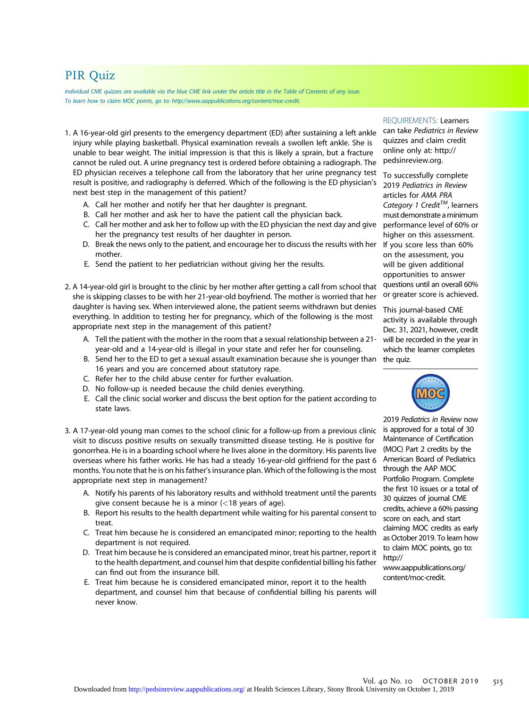# PIR Quiz

Individual CME quizzes are available via the blue CME link under the article title in the Table of Contents of any issue. To learn how to claim MOC points, go to: [http://www.aappublications.org/content/moc-credit.](http://www.aappublications.org/content/moc-credit)

- 1. A 16-year-old girl presents to the emergency department (ED) after sustaining a left ankle injury while playing basketball. Physical examination reveals a swollen left ankle. She is unable to bear weight. The initial impression is that this is likely a sprain, but a fracture cannot be ruled out. A urine pregnancy test is ordered before obtaining a radiograph. The ED physician receives a telephone call from the laboratory that her urine pregnancy test result is positive, and radiography is deferred. Which of the following is the ED physician's next best step in the management of this patient?
	- A. Call her mother and notify her that her daughter is pregnant.
	- B. Call her mother and ask her to have the patient call the physician back.
	- C. Call her mother and ask her to follow up with the ED physician the next day and give her the pregnancy test results of her daughter in person.
	- D. Break the news only to the patient, and encourage her to discuss the results with her mother.
	- E. Send the patient to her pediatrician without giving her the results.
- 2. A 14-year-old girl is brought to the clinic by her mother after getting a call from school that she is skipping classes to be with her 21-year-old boyfriend. The mother is worried that her daughter is having sex. When interviewed alone, the patient seems withdrawn but denies everything. In addition to testing her for pregnancy, which of the following is the most appropriate next step in the management of this patient?
	- A. Tell the patient with the mother in the room that a sexual relationship between a 21 year-old and a 14-year-old is illegal in your state and refer her for counseling.
	- B. Send her to the ED to get a sexual assault examination because she is younger than 16 years and you are concerned about statutory rape.
	- C. Refer her to the child abuse center for further evaluation.
	- D. No follow-up is needed because the child denies everything.
	- E. Call the clinic social worker and discuss the best option for the patient according to state laws.
- 3. A 17-year-old young man comes to the school clinic for a follow-up from a previous clinic visit to discuss positive results on sexually transmitted disease testing. He is positive for gonorrhea. He is in a boarding school where he lives alone in the dormitory. His parents live overseas where his father works. He has had a steady 16-year-old girlfriend for the past 6 months. You note that he is on his father's insurance plan. Which of the following is the most appropriate next step in management?
	- A. Notify his parents of his laboratory results and withhold treatment until the parents give consent because he is a minor  $\left($  < 18 years of age).
	- B. Report his results to the health department while waiting for his parental consent to treat.
	- C. Treat him because he is considered an emancipated minor; reporting to the health department is not required.
	- D. Treat him because he is considered an emancipated minor, treat his partner, report it to the health department, and counsel him that despite confidential billing his father can find out from the insurance bill.
	- E. Treat him because he is considered emancipated minor, report it to the health department, and counsel him that because of confidential billing his parents will never know.

REQUIREMENTS: Learners

can take Pediatrics in Review quizzes and claim credit online only at: [http://](http://pedsinreview.org) [pedsinreview.org](http://pedsinreview.org).

To successfully complete 2019 Pediatrics in Review articles for AMA PRA Category 1 Credit<sup>TM</sup>, learners must demonstrate aminimum performance level of 60% or higher on this assessment. If you score less than 60% on the assessment, you will be given additional opportunities to answer questions until an overall 60% or greater score is achieved.

This journal-based CME activity is available through Dec. 31, 2021, however, credit will be recorded in the year in which the learner completes the quiz.



2019 Pediatrics in Review now is approved for a total of 30 Maintenance of Certification (MOC) Part 2 credits by the American Board of Pediatrics through the AAP MOC Portfolio Program. Complete the first 10 issues or a total of 30 quizzes of journal CME credits, achieve a 60% passing score on each, and start claiming MOC credits as early as October 2019. To learn how to claim MOC points, go to: [http://](http://www.aappublications.org/content/moc-credit) [www.aappublications.org/](http://www.aappublications.org/content/moc-credit)

[content/moc-credit.](http://www.aappublications.org/content/moc-credit)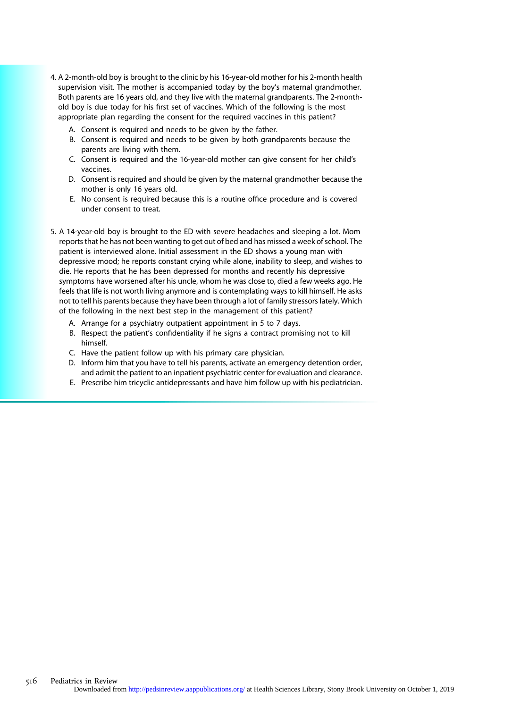- 4. A 2-month-old boy is brought to the clinic by his 16-year-old mother for his 2-month health supervision visit. The mother is accompanied today by the boy's maternal grandmother. Both parents are 16 years old, and they live with the maternal grandparents. The 2-monthold boy is due today for his first set of vaccines. Which of the following is the most appropriate plan regarding the consent for the required vaccines in this patient?
	- A. Consent is required and needs to be given by the father.
	- B. Consent is required and needs to be given by both grandparents because the parents are living with them.
	- C. Consent is required and the 16-year-old mother can give consent for her child's vaccines.
	- D. Consent is required and should be given by the maternal grandmother because the mother is only 16 years old.
	- E. No consent is required because this is a routine office procedure and is covered under consent to treat.
- 5. A 14-year-old boy is brought to the ED with severe headaches and sleeping a lot. Mom reports that he has not been wanting to get out of bed and has missed a week of school. The patient is interviewed alone. Initial assessment in the ED shows a young man with depressive mood; he reports constant crying while alone, inability to sleep, and wishes to die. He reports that he has been depressed for months and recently his depressive symptoms have worsened after his uncle, whom he was close to, died a few weeks ago. He feels that life is not worth living anymore and is contemplating ways to kill himself. He asks not to tell his parents because they have been through a lot of family stressors lately. Which of the following in the next best step in the management of this patient?
	- A. Arrange for a psychiatry outpatient appointment in 5 to 7 days.
	- B. Respect the patient's confidentiality if he signs a contract promising not to kill himself.
	- C. Have the patient follow up with his primary care physician.
	- D. Inform him that you have to tell his parents, activate an emergency detention order, and admit the patient to an inpatient psychiatric center for evaluation and clearance.
	- E. Prescribe him tricyclic antidepressants and have him follow up with his pediatrician.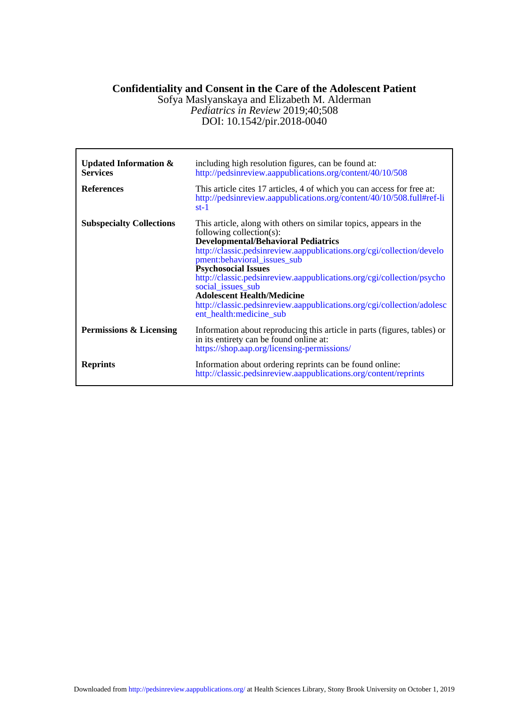### Sofya Maslyanskaya and Elizabeth M. Alderman **Confidentiality and Consent in the Care of the Adolescent Patient**

DOI: 10.1542/pir.2018-0040 *Pediatrics in Review* 2019;40;508

| Updated Information $\&$<br><b>Services</b><br><b>References</b> | including high resolution figures, can be found at:<br>http://pedsinreview.aappublications.org/content/40/10/508<br>This article cites 17 articles, 4 of which you can access for free at:<br>http://pedsinreview.aappublications.org/content/40/10/508.full#ref-li<br>$st-1$                                                                                                                                                                                                                                                  |
|------------------------------------------------------------------|--------------------------------------------------------------------------------------------------------------------------------------------------------------------------------------------------------------------------------------------------------------------------------------------------------------------------------------------------------------------------------------------------------------------------------------------------------------------------------------------------------------------------------|
| <b>Subspecialty Collections</b>                                  | This article, along with others on similar topics, appears in the<br>following collection $(s)$ :<br><b>Developmental/Behavioral Pediatrics</b><br>http://classic.pedsinreview.aappublications.org/cgi/collection/develo<br>pment:behavioral_issues_sub<br><b>Psychosocial Issues</b><br>http://classic.pedsinreview.aappublications.org/cgi/collection/psycho<br>social_issues_sub<br><b>Adolescent Health/Medicine</b><br>http://classic.pedsinreview.aappublications.org/cgi/collection/adolesc<br>ent health: medicine sub |
| Permissions & Licensing                                          | Information about reproducing this article in parts (figures, tables) or<br>in its entirety can be found online at:<br>https://shop.aap.org/licensing-permissions/                                                                                                                                                                                                                                                                                                                                                             |
| <b>Reprints</b>                                                  | Information about ordering reprints can be found online:<br>http://classic.pedsinreview.aappublications.org/content/reprints                                                                                                                                                                                                                                                                                                                                                                                                   |